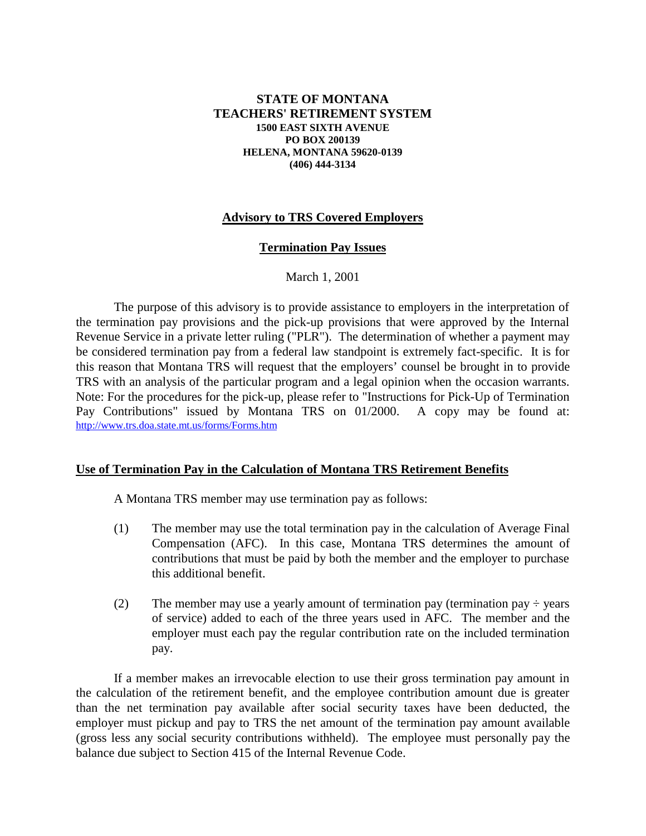### **STATE OF MONTANA TEACHERS' RETIREMENT SYSTEM 1500 EAST SIXTH AVENUE PO BOX 200139 HELENA, MONTANA 59620-0139 (406) 444-3134**

## **Advisory to TRS Covered Employers**

#### **Termination Pay Issues**

### March 1, 2001

The purpose of this advisory is to provide assistance to employers in the interpretation of the termination pay provisions and the pick-up provisions that were approved by the Internal Revenue Service in a private letter ruling ("PLR"). The determination of whether a payment may be considered termination pay from a federal law standpoint is extremely fact-specific. It is for this reason that Montana TRS will request that the employers' counsel be brought in to provide TRS with an analysis of the particular program and a legal opinion when the occasion warrants. Note: For the procedures for the pick-up, please refer to "Instructions for Pick-Up of Termination Pay Contributions" issued by Montana TRS on 01/2000. A copy may be found at: http://www.trs.doa.state.mt.us/forms/Forms.htm

#### **Use of Termination Pay in the Calculation of Montana TRS Retirement Benefits**

A Montana TRS member may use termination pay as follows:

- (1) The member may use the total termination pay in the calculation of Average Final Compensation (AFC). In this case, Montana TRS determines the amount of contributions that must be paid by both the member and the employer to purchase this additional benefit.
- (2) The member may use a yearly amount of termination pay (termination pay  $\div$  years of service) added to each of the three years used in AFC. The member and the employer must each pay the regular contribution rate on the included termination pay.

If a member makes an irrevocable election to use their gross termination pay amount in the calculation of the retirement benefit, and the employee contribution amount due is greater than the net termination pay available after social security taxes have been deducted, the employer must pickup and pay to TRS the net amount of the termination pay amount available (gross less any social security contributions withheld). The employee must personally pay the balance due subject to Section 415 of the Internal Revenue Code.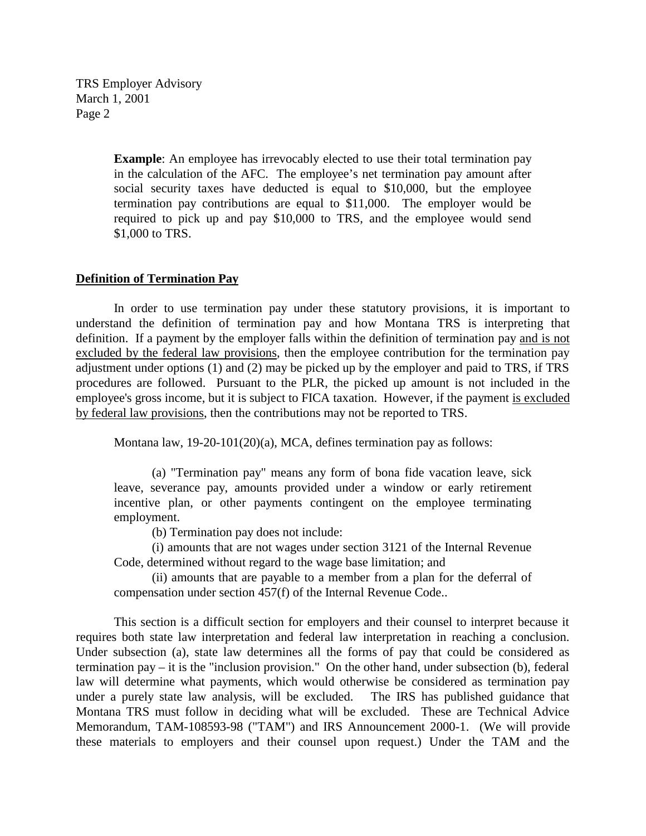TRS Employer Advisory March 1, 2001 Page 2

> **Example**: An employee has irrevocably elected to use their total termination pay in the calculation of the AFC. The employee's net termination pay amount after social security taxes have deducted is equal to \$10,000, but the employee termination pay contributions are equal to \$11,000. The employer would be required to pick up and pay \$10,000 to TRS, and the employee would send \$1,000 to TRS.

#### **Definition of Termination Pay**

In order to use termination pay under these statutory provisions, it is important to understand the definition of termination pay and how Montana TRS is interpreting that definition. If a payment by the employer falls within the definition of termination pay and is not excluded by the federal law provisions, then the employee contribution for the termination pay adjustment under options  $(1)$  and  $(2)$  may be picked up by the employer and paid to TRS, if TRS procedures are followed. Pursuant to the PLR, the picked up amount is not included in the employee's gross income, but it is subject to FICA taxation. However, if the payment is excluded by federal law provisions, then the contributions may not be reported to TRS.

Montana law, 19-20-101(20)(a), MCA, defines termination pay as follows:

(a) "Termination pay" means any form of bona fide vacation leave, sick leave, severance pay, amounts provided under a window or early retirement incentive plan, or other payments contingent on the employee terminating employment.

(b) Termination pay does not include:

(i) amounts that are not wages under section 3121 of the Internal Revenue Code, determined without regard to the wage base limitation; and

(ii) amounts that are payable to a member from a plan for the deferral of compensation under section 457(f) of the Internal Revenue Code..

This section is a difficult section for employers and their counsel to interpret because it requires both state law interpretation and federal law interpretation in reaching a conclusion. Under subsection (a), state law determines all the forms of pay that could be considered as termination pay – it is the "inclusion provision." On the other hand, under subsection (b), federal law will determine what payments, which would otherwise be considered as termination pay under a purely state law analysis, will be excluded. The IRS has published guidance that Montana TRS must follow in deciding what will be excluded. These are Technical Advice Memorandum, TAM-108593-98 ("TAM") and IRS Announcement 2000-1. (We will provide these materials to employers and their counsel upon request.) Under the TAM and the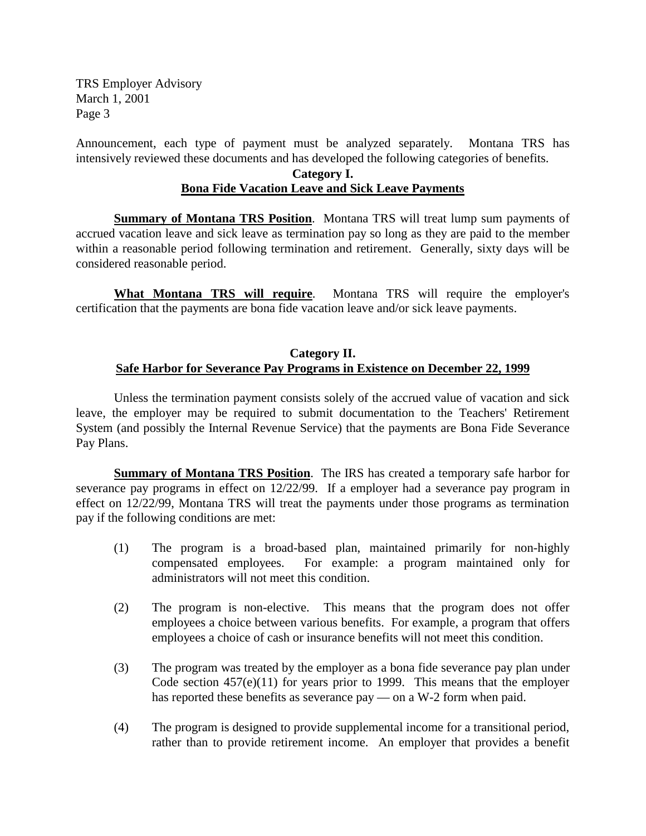TRS Employer Advisory March 1, 2001 Page 3

Announcement, each type of payment must be analyzed separately. Montana TRS has intensively reviewed these documents and has developed the following categories of benefits.

# **Category I. Bona Fide Vacation Leave and Sick Leave Payments**

**Summary of Montana TRS Position**. Montana TRS will treat lump sum payments of accrued vacation leave and sick leave as termination pay so long as they are paid to the member within a reasonable period following termination and retirement. Generally, sixty days will be considered reasonable period.

**What Montana TRS will require**. Montana TRS will require the employer's certification that the payments are bona fide vacation leave and/or sick leave payments.

## **Category II. Safe Harbor for Severance Pay Programs in Existence on December 22, 1999**

Unless the termination payment consists solely of the accrued value of vacation and sick leave, the employer may be required to submit documentation to the Teachers' Retirement System (and possibly the Internal Revenue Service) that the payments are Bona Fide Severance Pay Plans.

**Summary of Montana TRS Position**. The IRS has created a temporary safe harbor for severance pay programs in effect on 12/22/99. If a employer had a severance pay program in effect on 12/22/99, Montana TRS will treat the payments under those programs as termination pay if the following conditions are met:

- (1) The program is a broad-based plan, maintained primarily for non-highly compensated employees. For example: a program maintained only for administrators will not meet this condition.
- (2) The program is non-elective. This means that the program does not offer employees a choice between various benefits. For example, a program that offers employees a choice of cash or insurance benefits will not meet this condition.
- (3) The program was treated by the employer as a bona fide severance pay plan under Code section  $457(e)(11)$  for years prior to 1999. This means that the employer has reported these benefits as severance pay — on a W-2 form when paid.
- (4) The program is designed to provide supplemental income for a transitional period, rather than to provide retirement income. An employer that provides a benefit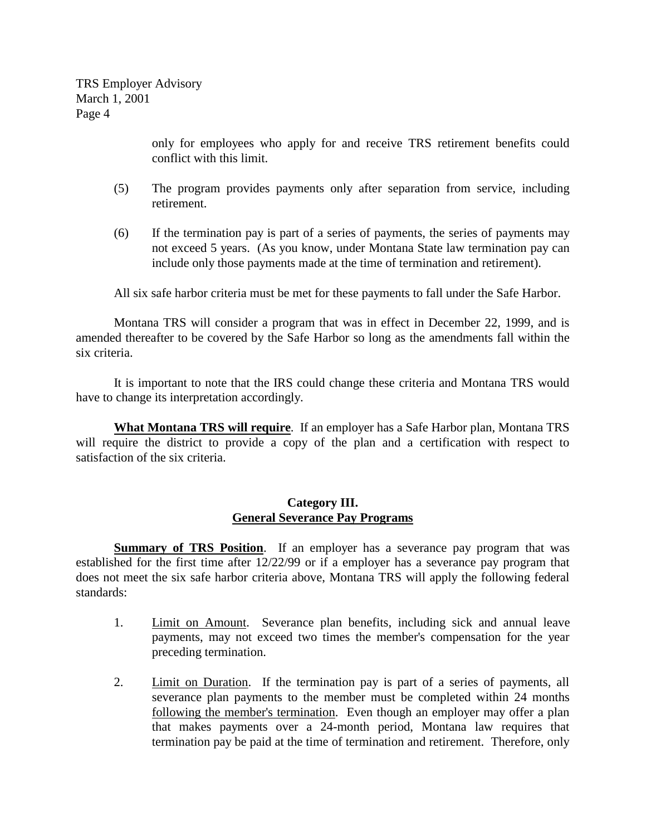TRS Employer Advisory March 1, 2001 Page 4

> only for employees who apply for and receive TRS retirement benefits could conflict with this limit.

- (5) The program provides payments only after separation from service, including retirement.
- (6) If the termination pay is part of a series of payments, the series of payments may not exceed 5 years. (As you know, under Montana State law termination pay can include only those payments made at the time of termination and retirement).

All six safe harbor criteria must be met for these payments to fall under the Safe Harbor.

Montana TRS will consider a program that was in effect in December 22, 1999, and is amended thereafter to be covered by the Safe Harbor so long as the amendments fall within the six criteria.

It is important to note that the IRS could change these criteria and Montana TRS would have to change its interpretation accordingly.

**What Montana TRS will require**. If an employer has a Safe Harbor plan, Montana TRS will require the district to provide a copy of the plan and a certification with respect to satisfaction of the six criteria.

## **Category III. General Severance Pay Programs**

**Summary of TRS Position**. If an employer has a severance pay program that was established for the first time after 12/22/99 or if a employer has a severance pay program that does not meet the six safe harbor criteria above, Montana TRS will apply the following federal standards:

- 1. Limit on Amount. Severance plan benefits, including sick and annual leave payments, may not exceed two times the member's compensation for the year preceding termination.
- 2. Limit on Duration. If the termination pay is part of a series of payments, all severance plan payments to the member must be completed within 24 months following the member's termination. Even though an employer may offer a plan that makes payments over a 24-month period, Montana law requires that termination pay be paid at the time of termination and retirement. Therefore, only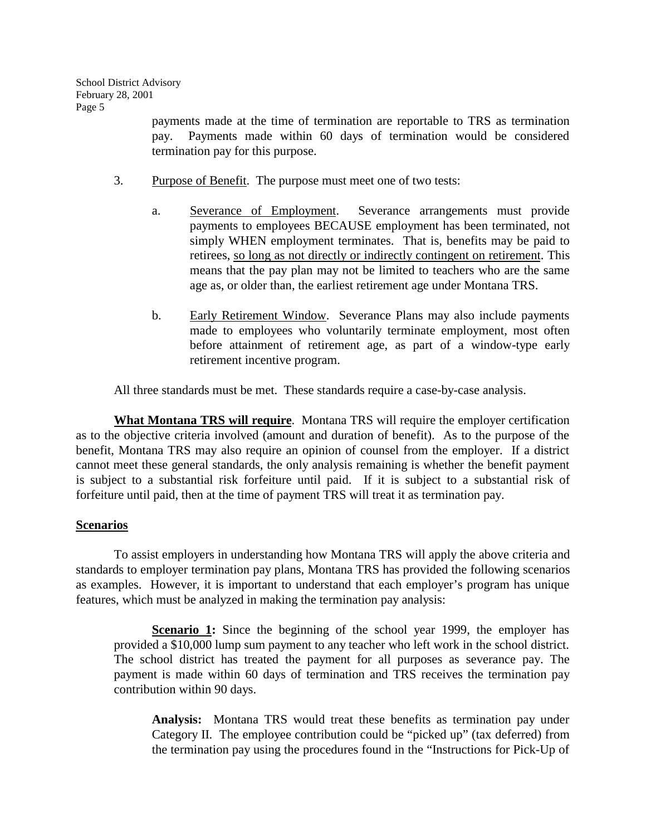payments made at the time of termination are reportable to TRS as termination pay. Payments made within 60 days of termination would be considered termination pay for this purpose.

- 3. Purpose of Benefit. The purpose must meet one of two tests:
	- a. Severance of Employment. Severance arrangements must provide payments to employees BECAUSE employment has been terminated, not simply WHEN employment terminates. That is, benefits may be paid to retirees, so long as not directly or indirectly contingent on retirement. This means that the pay plan may not be limited to teachers who are the same age as, or older than, the earliest retirement age under Montana TRS.
	- b. Early Retirement Window. Severance Plans may also include payments made to employees who voluntarily terminate employment, most often before attainment of retirement age, as part of a window-type early retirement incentive program.

All three standards must be met. These standards require a case-by-case analysis.

**What Montana TRS will require**. Montana TRS will require the employer certification as to the objective criteria involved (amount and duration of benefit). As to the purpose of the benefit, Montana TRS may also require an opinion of counsel from the employer. If a district cannot meet these general standards, the only analysis remaining is whether the benefit payment is subject to a substantial risk forfeiture until paid. If it is subject to a substantial risk of forfeiture until paid, then at the time of payment TRS will treat it as termination pay.

# **Scenarios**

To assist employers in understanding how Montana TRS will apply the above criteria and standards to employer termination pay plans, Montana TRS has provided the following scenarios as examples. However, it is important to understand that each employer's program has unique features, which must be analyzed in making the termination pay analysis:

**Scenario 1:** Since the beginning of the school year 1999, the employer has provided a \$10,000 lump sum payment to any teacher who left work in the school district. The school district has treated the payment for all purposes as severance pay. The payment is made within 60 days of termination and TRS receives the termination pay contribution within 90 days.

**Analysis:** Montana TRS would treat these benefits as termination pay under Category II. The employee contribution could be "picked up" (tax deferred) from the termination pay using the procedures found in the "Instructions for Pick-Up of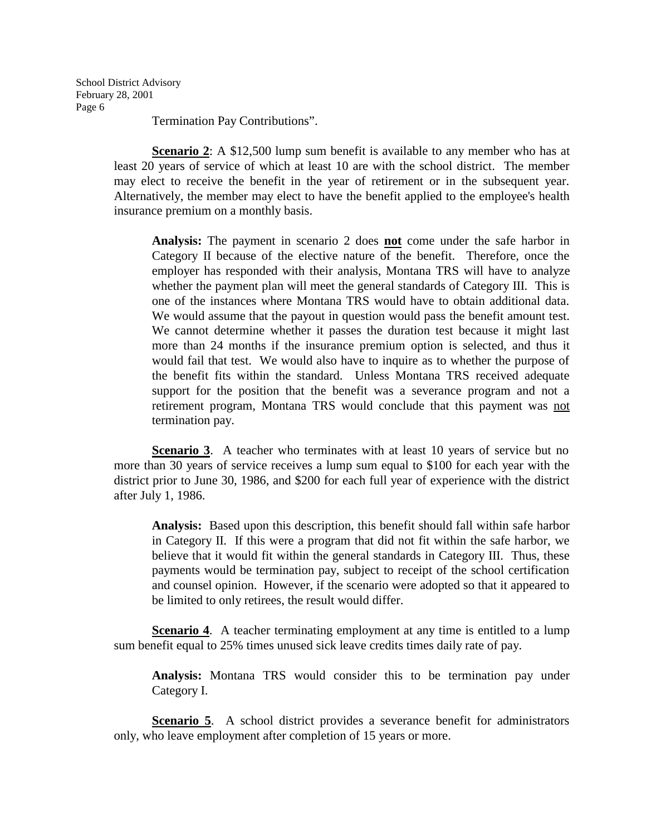School District Advisory February 28, 2001 Page 6

Termination Pay Contributions".

**Scenario 2**: A \$12,500 lump sum benefit is available to any member who has at least 20 years of service of which at least 10 are with the school district. The member may elect to receive the benefit in the year of retirement or in the subsequent year. Alternatively, the member may elect to have the benefit applied to the employee's health insurance premium on a monthly basis.

**Analysis:** The payment in scenario 2 does **not** come under the safe harbor in Category II because of the elective nature of the benefit. Therefore, once the employer has responded with their analysis, Montana TRS will have to analyze whether the payment plan will meet the general standards of Category III. This is one of the instances where Montana TRS would have to obtain additional data. We would assume that the payout in question would pass the benefit amount test. We cannot determine whether it passes the duration test because it might last more than 24 months if the insurance premium option is selected, and thus it would fail that test. We would also have to inquire as to whether the purpose of the benefit fits within the standard. Unless Montana TRS received adequate support for the position that the benefit was a severance program and not a retirement program, Montana TRS would conclude that this payment was not termination pay.

**Scenario 3.** A teacher who terminates with at least 10 years of service but no more than 30 years of service receives a lump sum equal to \$100 for each year with the district prior to June 30, 1986, and \$200 for each full year of experience with the district after July 1, 1986.

**Analysis:** Based upon this description, this benefit should fall within safe harbor in Category II. If this were a program that did not fit within the safe harbor, we believe that it would fit within the general standards in Category III. Thus, these payments would be termination pay, subject to receipt of the school certification and counsel opinion. However, if the scenario were adopted so that it appeared to be limited to only retirees, the result would differ.

**Scenario 4.** A teacher terminating employment at any time is entitled to a lump sum benefit equal to 25% times unused sick leave credits times daily rate of pay.

**Analysis:** Montana TRS would consider this to be termination pay under Category I.

**Scenario 5.** A school district provides a severance benefit for administrators only, who leave employment after completion of 15 years or more.